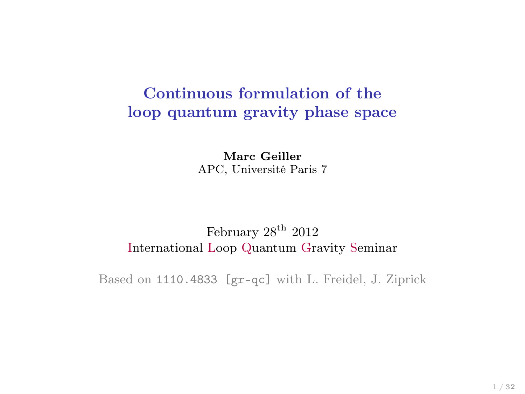# Continuous formulation of the loop quantum gravity phase space

Marc Geiller APC, Université Paris 7

#### February  $28^{\text{th}}$  2012 International Loop Quantum Gravity Seminar

Based on 1110.4833 [gr-qc] with L. Freidel, J. Ziprick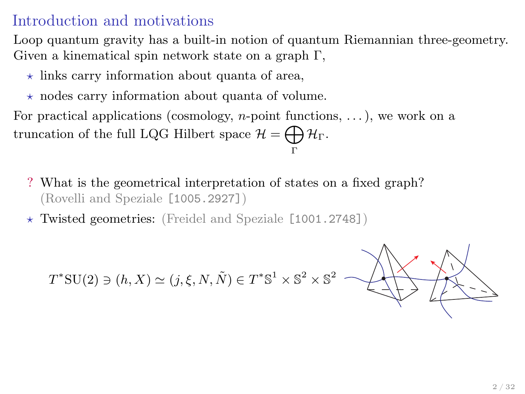#### Introduction and motivations

Loop quantum gravity has a built-in notion of quantum Riemannian three-geometry. Given a kinematical spin network state on a graph Γ,

- $\star$  links carry information about quanta of area,
- $\star$  nodes carry information about quanta of volume.

For practical applications (cosmology, *n*-point functions,  $\dots$  ), we work on a truncation of the full LQG Hilbert space  $\mathcal{H} = \bigoplus \mathcal{H}_{\Gamma}$ . Γ

- ? What is the geometrical interpretation of states on a fixed graph? (Rovelli and Speziale [1005.2927])
- $\star$  Twisted geometries: (Freidel and Speziale [1001.2748])

 $T^*{\rm SU}(2)\ni(h,X)\simeq(j,\xi,N,\tilde{N})\in T^*{\mathbb S}^1\times{\mathbb S}^2\times{\mathbb S}^2$ 

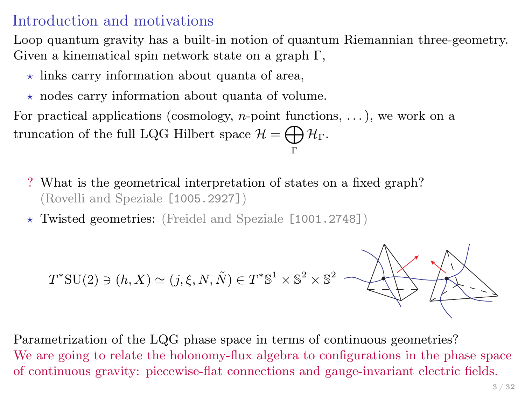#### Introduction and motivations

Loop quantum gravity has a built-in notion of quantum Riemannian three-geometry. Given a kinematical spin network state on a graph Γ,

- $\star$  links carry information about quanta of area,
- $\star$  nodes carry information about quanta of volume.

For practical applications (cosmology, *n*-point functions,  $\dots$  ), we work on a truncation of the full LQG Hilbert space  $\mathcal{H} = \bigoplus \mathcal{H}_{\Gamma}$ . Γ

- ? What is the geometrical interpretation of states on a fixed graph? (Rovelli and Speziale [1005.2927])
- $\star$  Twisted geometries: (Freidel and Speziale [1001.2748])

$$
T^*\mathrm{SU}(2) \ni (h,X) \simeq (j,\xi,N,\tilde{N}) \in T^*\mathbb{S}^1 \times \mathbb{S}^2 \times \mathbb{S}^2
$$

Parametrization of the LQG phase space in terms of continuous geometries? We are going to relate the holonomy-flux algebra to configurations in the phase space of continuous gravity: piecewise-flat connections and gauge-invariant electric fields.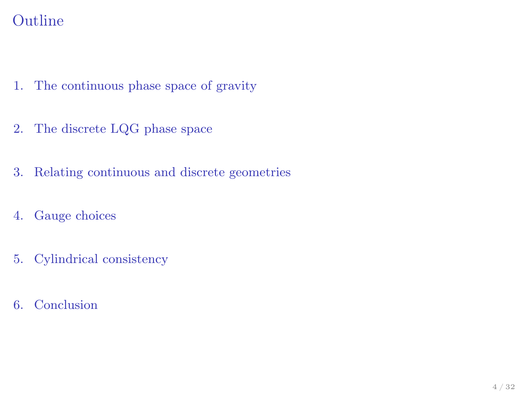# Outline

- 1. [The continuous phase space of gravity](#page-4-0)
- 2. [The discrete LQG phase space](#page-7-0)
- 3. [Relating continuous and discrete geometries](#page-14-0)
- 4. [Gauge choices](#page-29-0)
- 5. [Cylindrical consistency](#page-35-0)
- 6. [Conclusion](#page-37-0)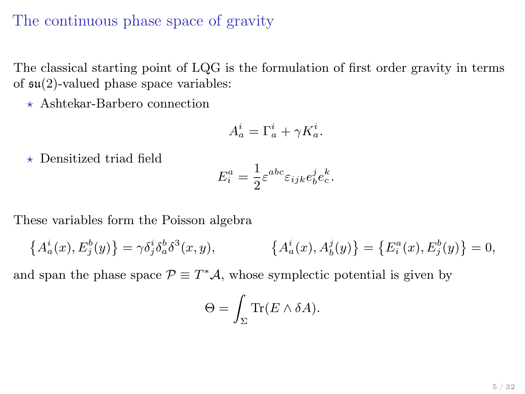#### The continuous phase space of gravity

The classical starting point of LQG is the formulation of first order gravity in terms of  $\mathfrak{su}(2)$ -valued phase space variables:

 $\star$  Ashtekar-Barbero connection

$$
A_a^i = \Gamma_a^i + \gamma K_a^i.
$$

 $\star$  Densitized triad field

$$
E_i^a = \frac{1}{2} \varepsilon^{abc} \varepsilon_{ijk} e_b^j e_c^k.
$$

These variables form the Poisson algebra

$$
\left\{ A_a^i(x), E_j^b(y) \right\} = \gamma \delta_j^i \delta_a^b \delta^3(x, y), \qquad \left\{ A_a^i(x), A_b^j(y) \right\} = \left\{ E_i^a(x), E_j^b(y) \right\} = 0,
$$

and span the phase space  $\mathcal{P} \equiv T^* \mathcal{A}$ , whose symplectic potential is given by

<span id="page-4-0"></span>
$$
\Theta = \int_{\Sigma} \text{Tr}(E \wedge \delta A).
$$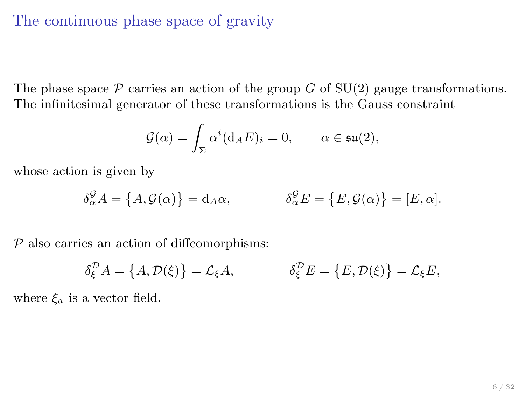#### The continuous phase space of gravity

The phase space  $P$  carries an action of the group G of SU(2) gauge transformations. The infinitesimal generator of these transformations is the Gauss constraint

$$
\mathcal{G}(\alpha) = \int_{\Sigma} \alpha^i (\mathrm{d}_A E)_i = 0, \qquad \alpha \in \mathfrak{su}(2),
$$

whose action is given by

$$
\delta_{\alpha}^{\mathcal{G}} A = \{ A, \mathcal{G}(\alpha) \} = d_A \alpha, \qquad \qquad \delta_{\alpha}^{\mathcal{G}} E = \{ E, \mathcal{G}(\alpha) \} = [E, \alpha].
$$

 $P$  also carries an action of diffeomorphisms:

$$
\delta_{\xi}^{\mathcal{D}} A = \{A, \mathcal{D}(\xi)\} = \mathcal{L}_{\xi} A, \qquad \qquad \delta_{\xi}^{\mathcal{D}} E = \{E, \mathcal{D}(\xi)\} = \mathcal{L}_{\xi} E,
$$

where  $\xi_a$  is a vector field.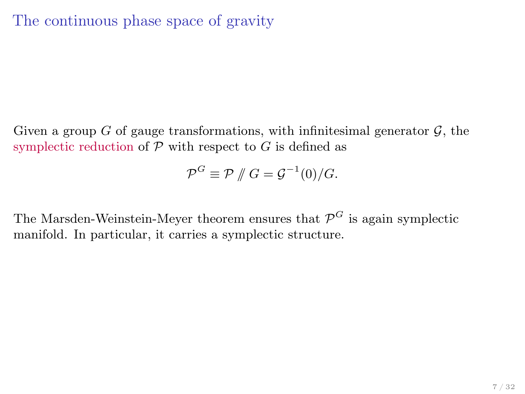Given a group G of gauge transformations, with infinitesimal generator  $\mathcal{G}$ , the symplectic reduction of  $P$  with respect to  $G$  is defined as

$$
\mathcal{P}^G \equiv \mathcal{P} \, \# \, G = \mathcal{G}^{-1}(0)/G.
$$

The Marsden-Weinstein-Meyer theorem ensures that  $\mathcal{P}^G$  is again symplectic manifold. In particular, it carries a symplectic structure.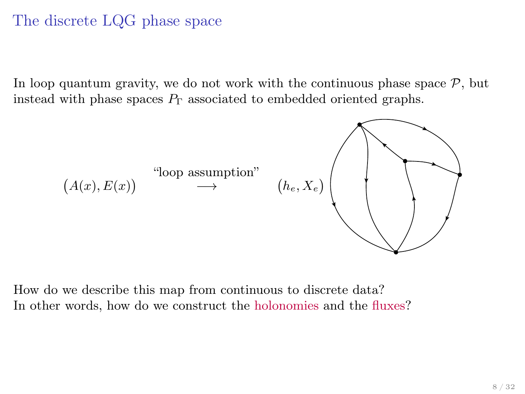# The discrete LQG phase space

In loop quantum gravity, we do not work with the continuous phase space  $P$ , but instead with phase spaces  $P_{\Gamma}$  associated to embedded oriented graphs.



<span id="page-7-0"></span>How do we describe this map from continuous to discrete data? In other words, how do we construct the holonomies and the fluxes?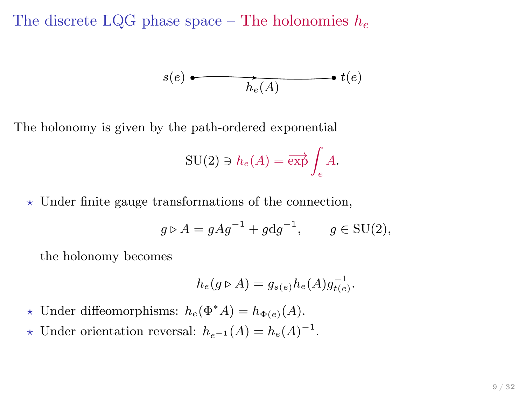The discrete LQG phase space – The holonomies  $h_e$ 

$$
s(e) \xrightarrow{\bullet} \qquad \qquad t(e)
$$

The holonomy is given by the path-ordered exponential

$$
\mathrm{SU}(2)\ni h_e(A)=\overrightarrow{\exp}\int_e A.
$$

 $\star$  Under finite gauge transformations of the connection,

$$
g \triangleright A = g A g^{-1} + g \mathrm{d} g^{-1}, \qquad g \in \mathrm{SU}(2),
$$

the holonomy becomes

$$
h_e(g \triangleright A) = g_{s(e)} h_e(A) g_{t(e)}^{-1}.
$$

- $\star$  Under diffeomorphisms:  $h_e(\Phi^* A) = h_{\Phi(e)}(A)$ .
- ★ Under orientation reversal:  $h_{e^{-1}}(A) = h_e(A)^{-1}$ .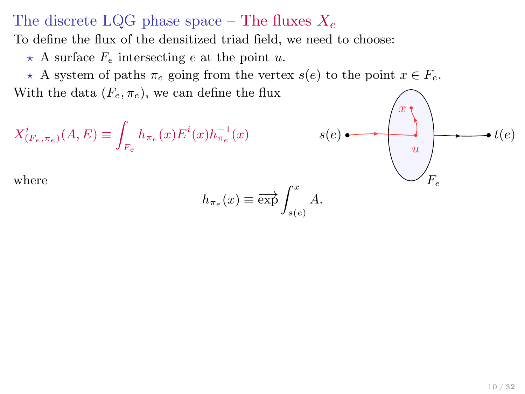#### The discrete LQG phase space – The fluxes  $X_e$

To define the flux of the densitized triad field, we need to choose:

 $\star$  A surface  $F_e$  intersecting e at the point u.

 $\star$  A system of paths  $\pi_e$  going from the vertex  $s(e)$  to the point  $x \in F_e$ . With the data  $(F_e, \pi_e)$ , we can define the flux

$$
X_{(F_e, \pi_e)}^i(A, E) \equiv \int_{F_e} h_{\pi_e}(x) E^i(x) h_{\pi_e}^{-1}(x)
$$

 $s(e) \longrightarrow e(e)$ x  $\boldsymbol{u}$ where  $\bigvee F_e$ 

$$
h_{\pi_e}(x) \equiv \overrightarrow{\exp} \int_{s(e)}^x A.
$$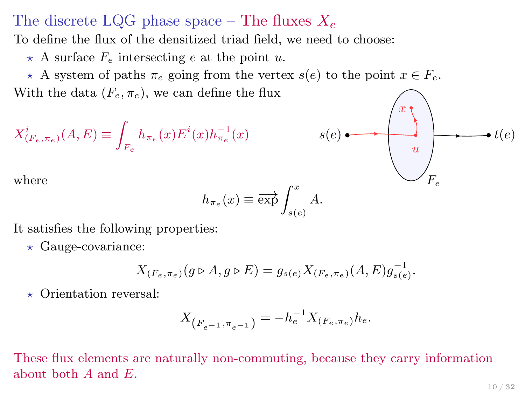#### The discrete LQG phase space – The fluxes  $X_e$

To define the flux of the densitized triad field, we need to choose:

 $\star$  A surface  $F_e$  intersecting e at the point u.

 $\star$  A system of paths  $\pi_e$  going from the vertex  $s(e)$  to the point  $x \in F_e$ . With the data  $(F_e, \pi_e)$ , we can define the flux

$$
X_{(F_e, \pi_e)}^i(A, E) \equiv \int_{F_e} h_{\pi_e}(x) E^i(x) h_{\pi_e}^{-1}(x)
$$

$$
h_{\pi_e}(x) \equiv \overrightarrow{\exp} \int_{s(e)}^x A.
$$

It satisfies the following properties:

 $\star$  Gauge-covariance:

$$
X_{(F_e, \pi_e)}(g \triangleright A, g \triangleright E) = g_{s(e)} X_{(F_e, \pi_e)}(A, E) g_{s(e)}^{-1}.
$$

 $\star$  Orientation reversal:

$$
X_{(F_{e^{-1}}, \pi_{e^{-1}})} = -h_e^{-1} X_{(F_e, \pi_e)} h_e.
$$

These flux elements are naturally non-commuting, because they carry information about both  $A$  and  $E$ .

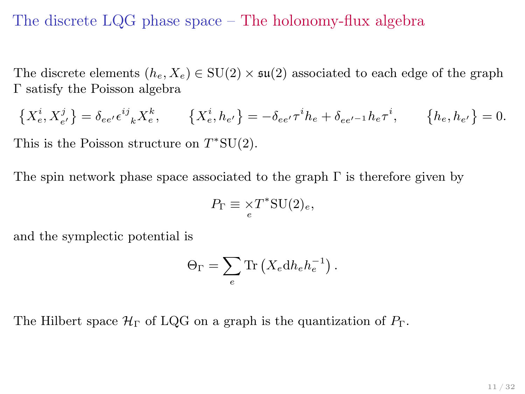#### The discrete LQG phase space – The holonomy-flux algebra

The discrete elements  $(h_e, X_e) \in SU(2) \times \mathfrak{su}(2)$  associated to each edge of the graph Γ satisfy the Poisson algebra

$$
\left\{ X_e^i, X_{e'}^j \right\} = \delta_{ee'} \epsilon^{ij}{}_k X_e^k, \qquad \left\{ X_e^i, h_{e'} \right\} = -\delta_{ee'} \tau^i h_e + \delta_{ee'-1} h_e \tau^i, \qquad \left\{ h_e, h_{e'} \right\} = 0.
$$

This is the Poisson structure on  $T^*SU(2)$ .

The spin network phase space associated to the graph  $\Gamma$  is therefore given by

$$
P_\Gamma \equiv \underset{e}{\times} T^* \mathrm{SU}(2)_e,
$$

and the symplectic potential is

$$
\Theta_{\Gamma} = \sum_{e} \text{Tr}\left(X_e \text{d} h_e h_e^{-1}\right).
$$

The Hilbert space  $\mathcal{H}_{\Gamma}$  of LQG on a graph is the quantization of  $P_{\Gamma}$ .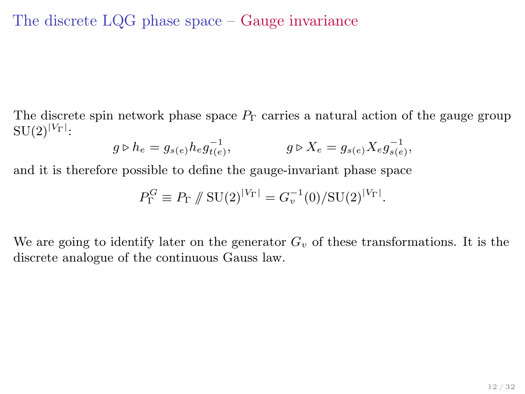The discrete LQG phase space – Gauge invariance

The discrete spin network phase space  $P_{\Gamma}$  carries a natural action of the gauge group  $\mathrm{SU}(2)^{|V_\Gamma|}$ :

$$
g \triangleright h_e = g_{s(e)} h_e g_{t(e)}^{-1}, \qquad \qquad g \triangleright X_e = g_{s(e)} X_e g_{s(e)}^{-1},
$$

and it is therefore possible to define the gauge-invariant phase space

$$
P_{\Gamma}^G \equiv P_{\Gamma} \, / \! / \, \text{SU}(2)^{|V_{\Gamma}|} = G_{v}^{-1}(0) / \text{SU}(2)^{|V_{\Gamma}|}.
$$

We are going to identify later on the generator  $G_v$  of these transformations. It is the discrete analogue of the continuous Gauss law.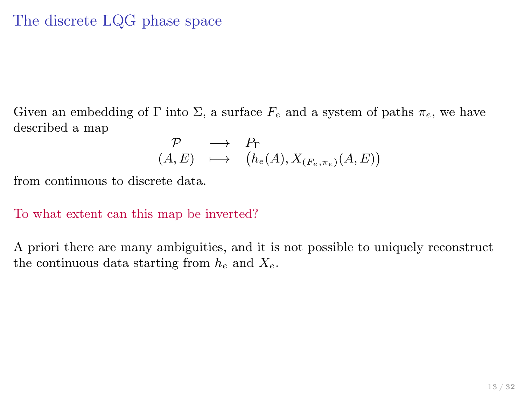# The discrete LQG phase space

Given an embedding of Γ into Σ, a surface  $F_e$  and a system of paths  $\pi_e$ , we have described a map

$$
\begin{array}{rcl}\mathcal{P} & \longrightarrow & P_{\Gamma} \\
(A,E) & \longmapsto & \big(h_e(A),X_{(F_e,\pi_e)}(A,E)\big) \end{array}
$$

from continuous to discrete data.

#### To what extent can this map be inverted?

A priori there are many ambiguities, and it is not possible to uniquely reconstruct the continuous data starting from  $h_e$  and  $X_e$ .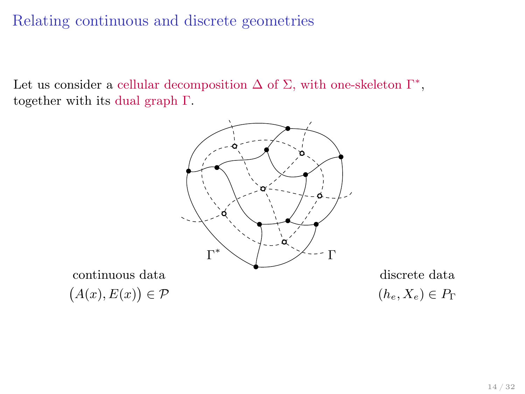Let us consider a cellular decomposition  $\Delta$  of  $\Sigma$ , with one-skeleton  $\Gamma^*$ , together with its dual graph Γ.



continuous data discrete data  $(A(x), E(x))$ 

<span id="page-14-0"></span> $(h_e, X_e) \in P_\Gamma$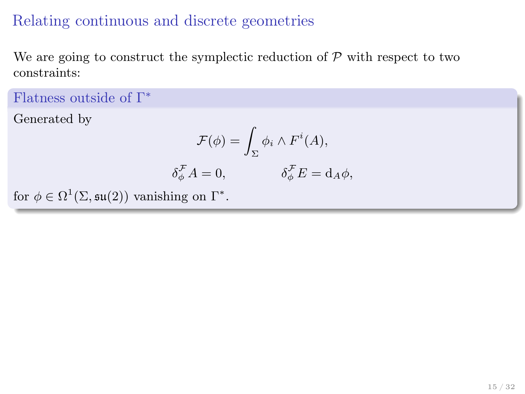δ

We are going to construct the symplectic reduction of  $P$  with respect to two constraints:

Flatness outside of Γ ∗

Generated by

$$
\mathcal{F}(\phi) = \int_{\Sigma} \phi_i \wedge F^i(A),
$$
  

$$
\phi \mathcal{F}_A = 0, \qquad \delta \phi \mathcal{F}_B = d_A \phi,
$$

for  $\phi \in \Omega^1(\Sigma, \mathfrak{su}(2))$  vanishing on  $\Gamma^*$ .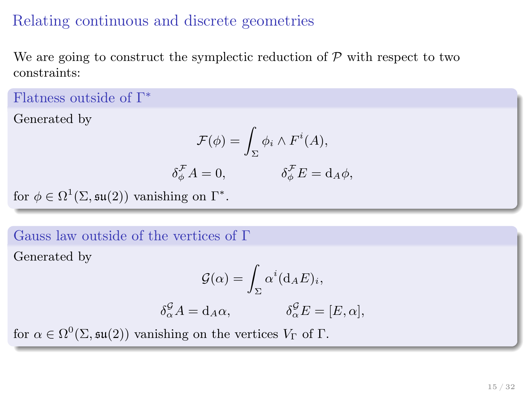We are going to construct the symplectic reduction of  $P$  with respect to two constraints:

Flatness outside of Γ ∗

Generated by

$$
\mathcal{F}(\phi) = \int_{\Sigma} \phi_i \wedge F^i(A),
$$
  

$$
\phi \mathcal{F}_A = 0, \qquad \delta \phi \mathcal{F}_B = d_A \phi,
$$

for  $\phi \in \Omega^1(\Sigma, \mathfrak{su}(2))$  vanishing on  $\Gamma^*$ .

#### Gauss law outside of the vertices of Γ

Generated by

$$
\mathcal{G}(\alpha) = \int_{\Sigma} \alpha^i (\mathrm{d}_A E)_i,
$$

$$
\delta_{\alpha}^{\mathcal{G}} A = \mathrm{d}_A \alpha, \qquad \qquad \delta_{\alpha}^{\mathcal{G}} E = [E, \alpha],
$$

for  $\alpha \in \Omega^0(\Sigma, \mathfrak{su}(2))$  vanishing on the vertices  $V_{\Gamma}$  of  $\Gamma$ .

δ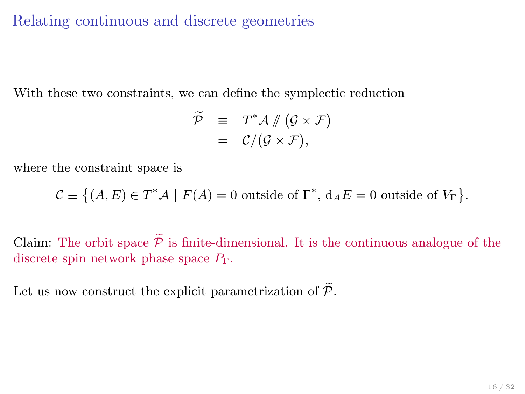With these two constraints, we can define the symplectic reduction

$$
\begin{array}{rcl} \widetilde{\mathcal{P}} & \equiv & T^*\mathcal{A} \mathbin{\#} \left( \mathcal{G} \times \mathcal{F} \right) \\ & = & \mathcal{C} / \big( \mathcal{G} \times \mathcal{F} \big), \end{array}
$$

where the constraint space is

$$
\mathcal{C} \equiv \left\{ (A, E) \in T^* A \mid F(A) = 0 \text{ outside of } \Gamma^*, d_A E = 0 \text{ outside of } V_{\Gamma} \right\}.
$$

Claim: The orbit space  $\widetilde{\mathcal{P}}$  is finite-dimensional. It is the continuous analogue of the discrete spin network phase space  $P_{\Gamma}$ .

Let us now construct the explicit parametrization of  $\widetilde{\mathcal{P}}$ .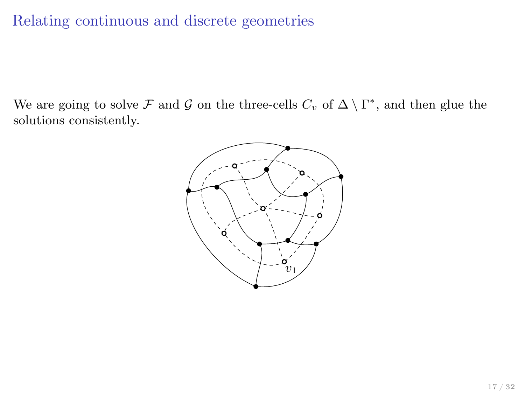We are going to solve F and G on the three-cells  $C_v$  of  $\Delta \setminus \Gamma^*$ , and then glue the solutions consistently.

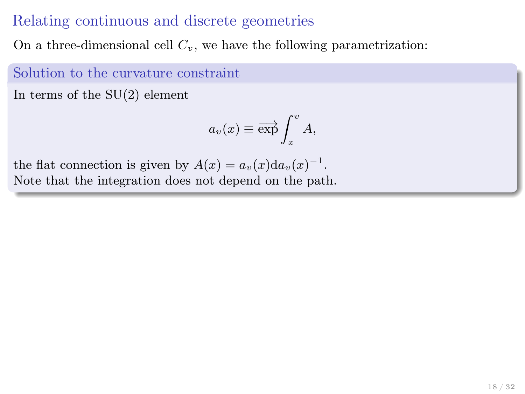On a three-dimensional cell  $C_v$ , we have the following parametrization:

Solution to the curvature constraint

In terms of the SU(2) element

$$
a_v(x) \equiv \overrightarrow{\exp} \int_x^v A,
$$

the flat connection is given by  $A(x) = a_v(x) da_v(x)^{-1}$ . Note that the integration does not depend on the path.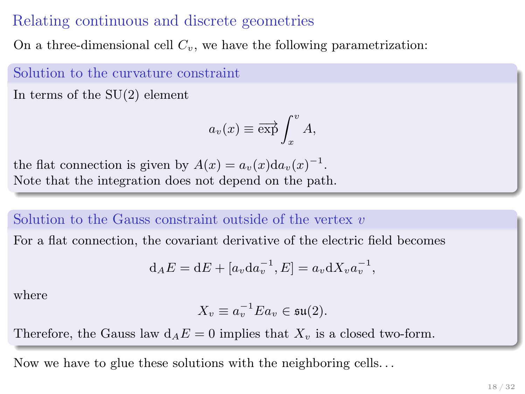On a three-dimensional cell  $C_v$ , we have the following parametrization:

Solution to the curvature constraint

In terms of the SU(2) element

$$
a_v(x) \equiv \overrightarrow{\exp} \int_x^v A,
$$

the flat connection is given by  $A(x) = a_v(x) da_v(x)^{-1}$ . Note that the integration does not depend on the path.

#### Solution to the Gauss constraint outside of the vertex  $v$

For a flat connection, the covariant derivative of the electric field becomes

$$
\mathrm{d}_A E = \mathrm{d} E + [a_v \mathrm{d} a_v^{-1}, E] = a_v \mathrm{d} X_v a_v^{-1},
$$

where

$$
X_v \equiv a_v^{-1} E a_v \in \mathfrak{su}(2).
$$

Therefore, the Gauss law  $d_A E = 0$  implies that  $X_v$  is a closed two-form.

Now we have to glue these solutions with the neighboring cells. . .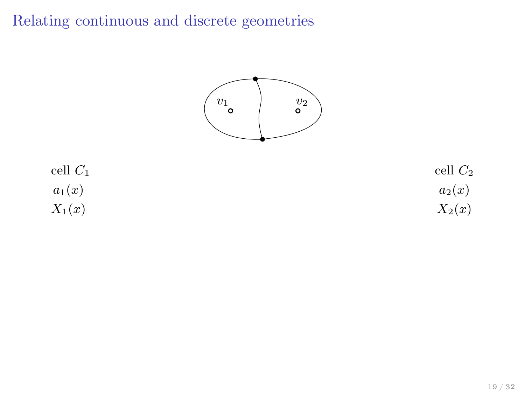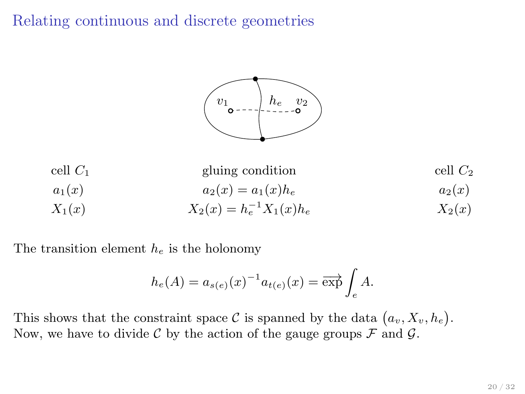



The transition element  $h_e$  is the holonomy

$$
h_e(A) = a_{s(e)}(x)^{-1} a_{t(e)}(x) = \overrightarrow{\exp} \int_e A.
$$

This shows that the constraint space C is spanned by the data  $(a_v, X_v, h_e)$ . Now, we have to divide C by the action of the gauge groups  $\mathcal F$  and  $\mathcal G$ .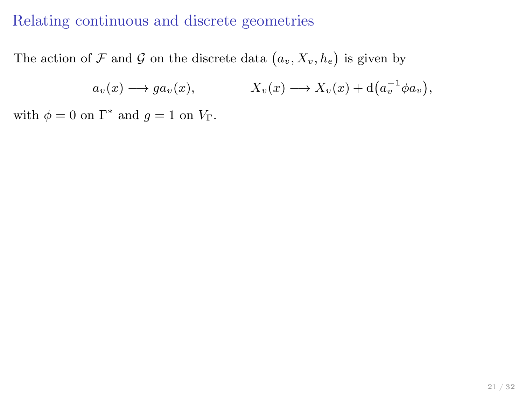The action of F and G on the discrete data  $(a_v, X_v, h_e)$  is given by

 $a_v(x) \longrightarrow ga_v(x), \qquad X_v(x) \longrightarrow X_v(x) + d(a_v^{-1} \phi a_v),$ 

with  $\phi = 0$  on  $\Gamma^*$  and  $g = 1$  on  $V_{\Gamma}$ .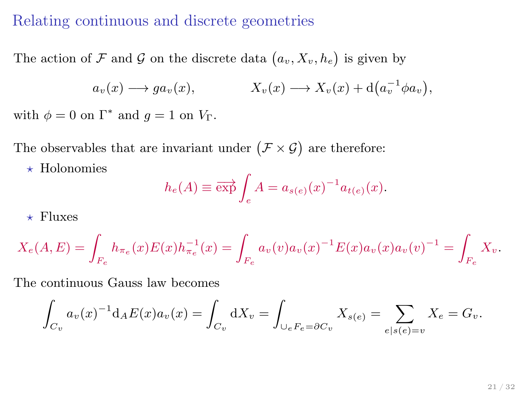The action of F and G on the discrete data  $(a_v, X_v, h_e)$  is given by

$$
a_v(x) \longrightarrow ga_v(x),
$$
  $X_v(x) \longrightarrow X_v(x) + d(a_v^{-1} \phi a_v),$ 

with  $\phi = 0$  on  $\Gamma^*$  and  $g = 1$  on  $V_{\Gamma}$ .

The observables that are invariant under  $(\mathcal{F} \times \mathcal{G})$  are therefore:

 $\star$  Holonomies

$$
h_e(A) \equiv \overrightarrow{\exp} \int_e A = a_{s(e)}(x)^{-1} a_{t(e)}(x).
$$

 $\star$  Fluxes

$$
X_e(A, E) = \int_{F_e} h_{\pi_e}(x) E(x) h_{\pi_e}^{-1}(x) = \int_{F_e} a_v(v) a_v(x)^{-1} E(x) a_v(x) a_v(v)^{-1} = \int_{F_e} X_v.
$$

The continuous Gauss law becomes

$$
\int_{C_v} a_v(x)^{-1} d_A E(x) a_v(x) = \int_{C_v} dX_v = \int_{\bigcup_e F_e = \partial C_v} X_{s(e)} = \sum_{e | s(e) = v} X_e = G_v.
$$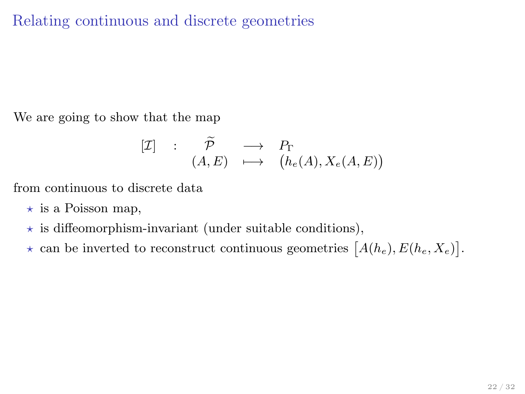We are going to show that the map

$$
\begin{array}{rcl} [\mathcal{I}] & : & \widetilde{\mathcal{P}} & \longrightarrow & P_{\Gamma} \\ & (A, E) & \longmapsto & \big( h_{e}(A), X_{e}(A, E) \big) \end{array}
$$

from continuous to discrete data

- $\star$  is a Poisson map,
- $\star$  is diffeomorphism-invariant (under suitable conditions),
- $\star$  can be inverted to reconstruct continuous geometries  $[A(h_e), E(h_e, X_e)].$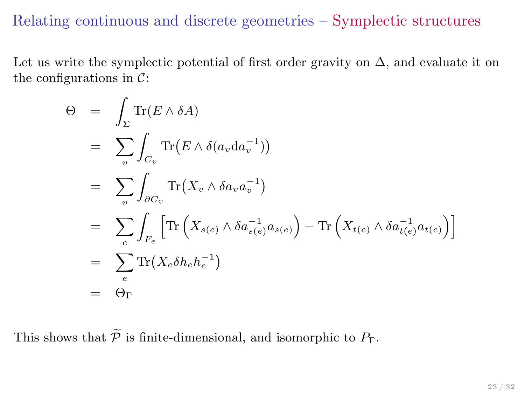#### Relating continuous and discrete geometries – Symplectic structures

Let us write the symplectic potential of first order gravity on  $\Delta$ , and evaluate it on the configurations in  $\mathcal{C}$ :

$$
\Theta = \int_{\Sigma} \text{Tr}(E \wedge \delta A)
$$
  
\n
$$
= \sum_{v} \int_{C_{v}} \text{Tr}(E \wedge \delta(a_{v} da_{v}^{-1}))
$$
  
\n
$$
= \sum_{v} \int_{\partial C_{v}} \text{Tr}(X_{v} \wedge \delta a_{v} a_{v}^{-1})
$$
  
\n
$$
= \sum_{e} \int_{F_{e}} \left[ \text{Tr}(X_{s(e)} \wedge \delta a_{s(e)}^{-1} a_{s(e)}) - \text{Tr}(X_{t(e)} \wedge \delta a_{t(e)}^{-1} a_{t(e)}) \right]
$$
  
\n
$$
= \sum_{e} \text{Tr}(X_{e} \delta h_{e} h_{e}^{-1})
$$
  
\n
$$
= \Theta_{\Gamma}
$$

This shows that  $\widetilde{\mathcal{P}}$  is finite-dimensional, and isomorphic to  $P_{\Gamma}$ .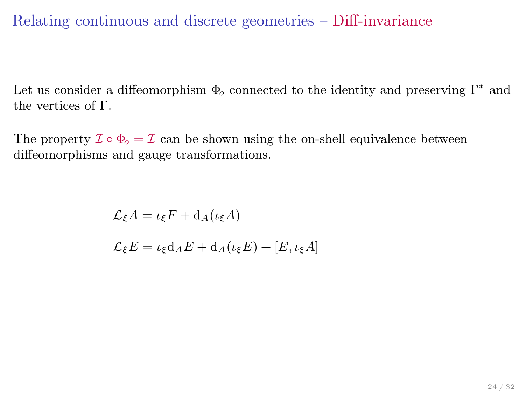# Relating continuous and discrete geometries – Diff-invariance

Let us consider a diffeomorphism  $\Phi_o$  connected to the identity and preserving  $\Gamma^*$  and the vertices of Γ.

The property  $\mathcal{I} \circ \Phi_o = \mathcal{I}$  can be shown using the on-shell equivalence between diffeomorphisms and gauge transformations.

> $\mathcal{L}_{\varepsilon}A = \iota_{\varepsilon}F + d_A(\iota_{\varepsilon}A)$  $\mathcal{L}_{\varepsilon}E = \iota_{\varepsilon}d_{A}E + d_{A}(\iota_{\varepsilon}E) + [E, \iota_{\varepsilon}A]$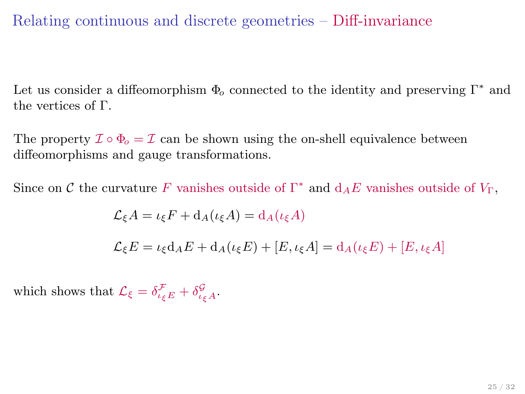# Relating continuous and discrete geometries – Diff-invariance

Let us consider a diffeomorphism  $\Phi_o$  connected to the identity and preserving  $\Gamma^*$  and the vertices of Γ.

The property  $\mathcal{I} \circ \Phi_o = \mathcal{I}$  can be shown using the on-shell equivalence between diffeomorphisms and gauge transformations.

Since on  $\mathcal C$  the curvature F vanishes outside of  $\Gamma^*$  and  $d_A E$  vanishes outside of  $V_{\Gamma}$ ,

$$
\mathcal{L}_{\xi}A = \iota_{\xi}F + d_{A}(\iota_{\xi}A) = d_{A}(\iota_{\xi}A)
$$
  

$$
\mathcal{L}_{\xi}E = \iota_{\xi}d_{A}E + d_{A}(\iota_{\xi}E) + [E, \iota_{\xi}A] = d_{A}(\iota_{\xi}E) + [E, \iota_{\xi}A]
$$

which shows that  $\mathcal{L}_{\xi} = \delta^{\mathcal{F}}_{\iota_{\xi}E} + \delta^{\mathcal{G}}_{\iota_{\xi}A}$ .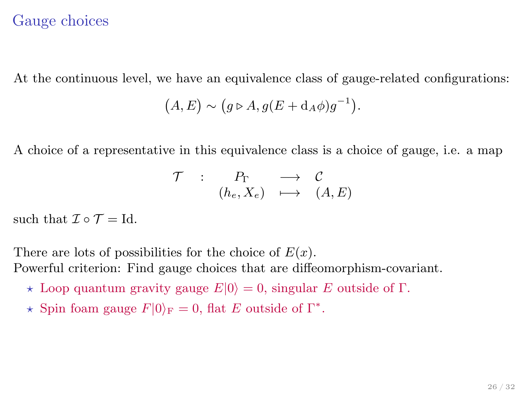## Gauge choices

At the continuous level, we have an equivalence class of gauge-related configurations:

$$
(A, E) \sim (g \triangleright A, g(E + d_A \phi)g^{-1}).
$$

A choice of a representative in this equivalence class is a choice of gauge, i.e. a map

<span id="page-29-0"></span>
$$
\begin{array}{ccccc}\n\mathcal{T} & : & P_{\Gamma} & \longrightarrow & \mathcal{C} \\
(h_{e}, X_{e}) & \longmapsto & (A, E)\n\end{array}
$$

such that  $\mathcal{I} \circ \mathcal{T} = \text{Id}$ .

There are lots of possibilities for the choice of  $E(x)$ . Powerful criterion: Find gauge choices that are diffeomorphism-covariant.

- \* Loop quantum gravity gauge  $E|0\rangle = 0$ , singular E outside of Γ.
- \* Spin foam gauge  $F|0\rangle_F = 0$ , flat E outside of  $\Gamma^*$ .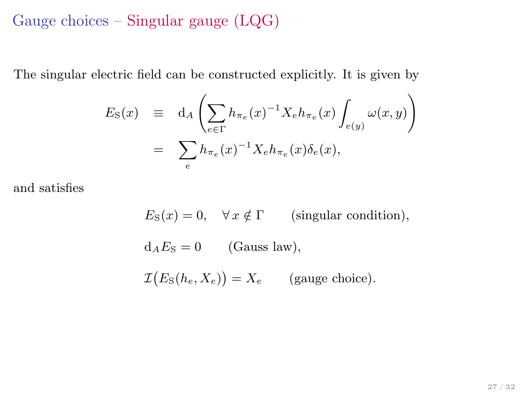## Gauge choices – Singular gauge (LQG)

The singular electric field can be constructed explicitly. It is given by

$$
E_{\rm S}(x) \equiv d_A \left( \sum_{e \in \Gamma} h_{\pi_e}(x)^{-1} X_e h_{\pi_e}(x) \int_{e(y)} \omega(x, y) \right)
$$
  
= 
$$
\sum_e h_{\pi_e}(x)^{-1} X_e h_{\pi_e}(x) \delta_e(x),
$$

and satisfies

$$
E_{\rm S}(x) = 0, \quad \forall x \notin \Gamma \qquad \text{(singular condition)},
$$
  

$$
d_A E_{\rm S} = 0 \qquad \text{(Gauss law)},
$$
  

$$
\mathcal{I}(E_{\rm S}(h_e, X_e)) = X_e \qquad \text{(gauge choice)}.
$$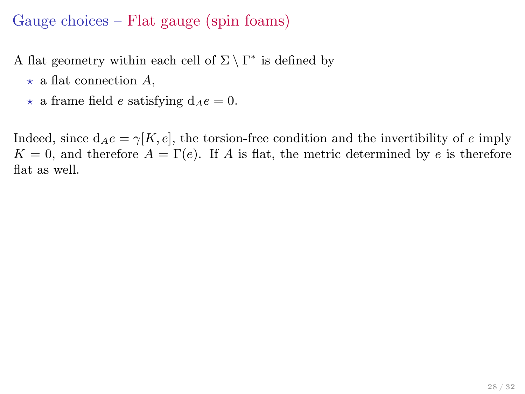# Gauge choices – Flat gauge (spin foams)

A flat geometry within each cell of  $\Sigma \setminus \Gamma^*$  is defined by

- $\star$  a flat connection A,
- $\star$  a frame field e satisfying  $d_Ae = 0$ .

Indeed, since  $d_Ae = \gamma[K, e]$ , the torsion-free condition and the invertibility of e imply  $K = 0$ , and therefore  $A = \Gamma(e)$ . If A is flat, the metric determined by e is therefore flat as well.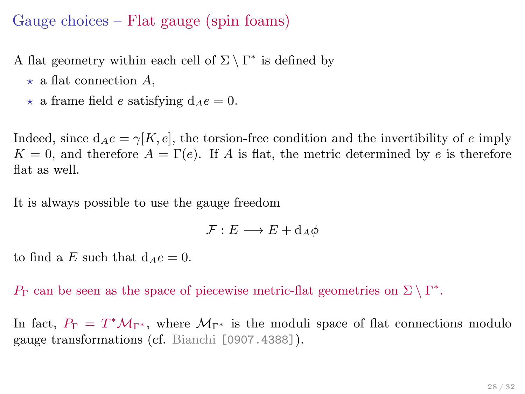# Gauge choices – Flat gauge (spin foams)

A flat geometry within each cell of  $\Sigma \setminus \Gamma^*$  is defined by

- $\star$  a flat connection A,
- $\star$  a frame field e satisfying  $d_Ae = 0$ .

Indeed, since  $d_Ae = \gamma[K, e]$ , the torsion-free condition and the invertibility of e imply  $K = 0$ , and therefore  $A = \Gamma(e)$ . If A is flat, the metric determined by e is therefore flat as well.

It is always possible to use the gauge freedom

$$
\mathcal{F}: E \longrightarrow E + d_A \phi
$$

to find a E such that  $d_Ae = 0$ .

 $P_{\Gamma}$  can be seen as the space of piecewise metric-flat geometries on  $\Sigma \setminus \Gamma^*$ .

In fact,  $P_{\Gamma} = T^* \mathcal{M}_{\Gamma^*}$ , where  $\mathcal{M}_{\Gamma^*}$  is the moduli space of flat connections modulo gauge transformations (cf. Bianchi [0907.4388]).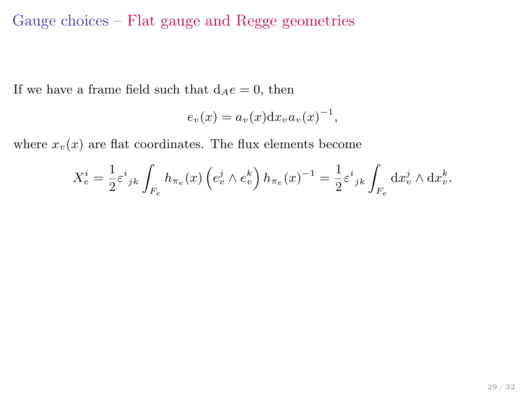# Gauge choices – Flat gauge and Regge geometries

If we have a frame field such that  $d_Ae = 0$ , then

$$
e_v(x) = a_v(x) \mathrm{d} x_v a_v(x)^{-1},
$$

where  $x_v(x)$  are flat coordinates. The flux elements become

$$
X_e^i = \frac{1}{2} \varepsilon^i{}_{jk} \int_{F_e} h_{\pi_e}(x) \left( e_v^j \wedge e_v^k \right) h_{\pi_e}(x)^{-1} = \frac{1}{2} \varepsilon^i{}_{jk} \int_{F_e} dx_v^j \wedge dx_v^k.
$$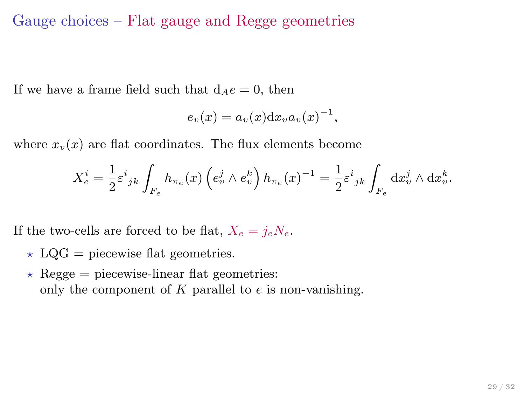#### Gauge choices – Flat gauge and Regge geometries

If we have a frame field such that  $d_Ae = 0$ , then

$$
e_v(x) = a_v(x) \mathrm{d} x_v a_v(x)^{-1},
$$

where  $x_v(x)$  are flat coordinates. The flux elements become

$$
X_e^i = \frac{1}{2} \varepsilon^i{}_{jk} \int_{F_e} h_{\pi_e}(x) \left( e_v^j \wedge e_v^k \right) h_{\pi_e}(x)^{-1} = \frac{1}{2} \varepsilon^i{}_{jk} \int_{F_e} dx_v^j \wedge dx_v^k.
$$

If the two-cells are forced to be flat,  $X_e = j_e N_e$ .

- $\star$  LQG = piecewise flat geometries.
- $\star$  Regge = piecewise-linear flat geometries: only the component of  $K$  parallel to  $e$  is non-vanishing.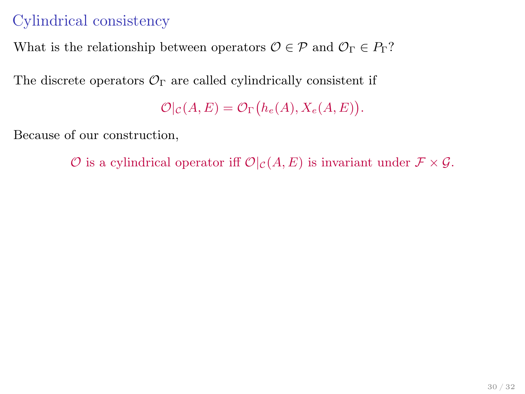# Cylindrical consistency

What is the relationship between operators  $\mathcal{O} \in \mathcal{P}$  and  $\mathcal{O}_{\Gamma} \in P_{\Gamma}$ ?

The discrete operators  $\mathcal{O}_{\Gamma}$  are called cylindrically consistent if

<span id="page-35-0"></span> $\mathcal{O}|_{\mathcal{C}}(A, E) = \mathcal{O}_{\Gamma}(h_e(A), X_e(A, E)).$ 

Because of our construction,

 $\mathcal O$  is a cylindrical operator iff  $\mathcal O|_{\mathcal C}(A, E)$  is invariant under  $\mathcal F\times\mathcal G$ .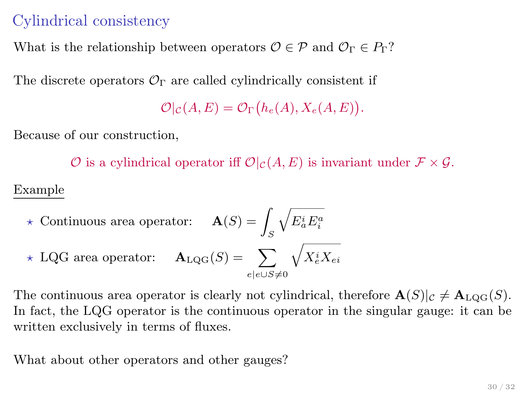# Cylindrical consistency

What is the relationship between operators  $\mathcal{O} \in \mathcal{P}$  and  $\mathcal{O}_{\Gamma} \in \mathbb{P}_{\Gamma}$ ?

The discrete operators  $\mathcal{O}_{\Gamma}$  are called cylindrically consistent if

 $\mathcal{O}|_{\mathcal{C}}(A, E) = \mathcal{O}_{\Gamma}(h_e(A), X_e(A, E)).$ 

Because of our construction,

 $\mathcal O$  is a cylindrical operator iff  $\mathcal O|_{\mathcal C}(A, E)$  is invariant under  $\mathcal F\times\mathcal G$ .

#### Example

\n
$$
\star \text{ Continuous area operator:} \quad \mathbf{A}(S) = \int_S \sqrt{E_a^i E_i^a}
$$
\n

\n\n
$$
\star \text{ LQG area operator:} \quad \mathbf{A}_{\text{LQG}}(S) = \sum_{e|e \cup S \neq 0} \sqrt{X_e^i X_{ei}}
$$
\n

The continuous area operator is clearly not cylindrical, therefore  $\mathbf{A}(S)|_{\mathcal{C}} \neq \mathbf{A}_{\text{LOG}}(S)$ . In fact, the LQG operator is the continuous operator in the singular gauge: it can be written exclusively in terms of fluxes.

What about other operators and other gauges?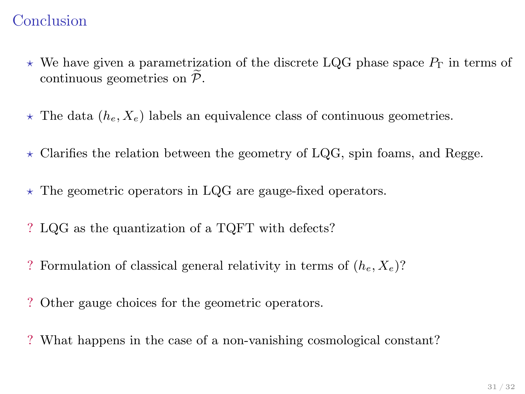# Conclusion

- $\star$  We have given a parametrization of the discrete LQG phase space  $P_{\Gamma}$  in terms of continuous geometries on  $\widetilde{\mathcal{P}}$ .
- $\star$  The data ( $h_e, X_e$ ) labels an equivalence class of continuous geometries.
- $\star$  Clarifies the relation between the geometry of LQG, spin foams, and Regge.
- $\star$  The geometric operators in LQG are gauge-fixed operators.
- ? LQG as the quantization of a TQFT with defects?
- ? Formulation of classical general relativity in terms of  $(h_e, X_e)$ ?
- ? Other gauge choices for the geometric operators.
- <span id="page-37-0"></span>? What happens in the case of a non-vanishing cosmological constant?